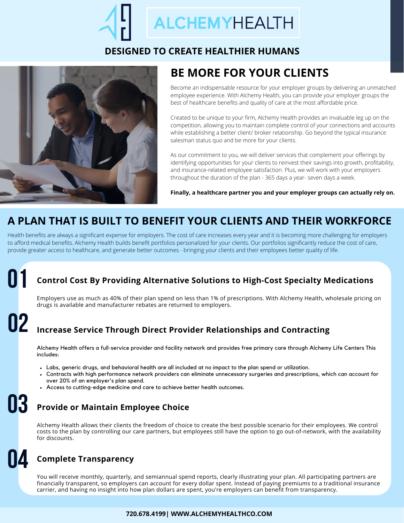## **ALCHEMYHEALTH**

#### **DESIGNED TO CREATE HEALTHIER HUMANS**



## **BE MORE FOR YOUR CLIENTS**

Become an indispensable resource for your employer groups by delivering an unmatched employee experience. With Alchemy Health, you can provide your employer groups the best of healthcare benefits and quality of care at the most affordable price.

Created to be unique to your firm, Alchemy Health provides an invaluable leg up on the competition, allowing you to maintain complete control of your connections and accounts while establishing a better client/ broker relationship. Go beyond the typical insurance salesman status quo and be more for your clients.

As our commitment to you, we will deliver services that complement your offerings by identifying opportunities for your clients to reinvest their savings into growth, profitability, and insurance-related employee satisfaction. Plus, we will work with your employers throughout the duration of the plan - 365 days a year- seven days a week.

**Finally, a healthcare partner you and your employer groups can actually rely on.**

## **A PLAN THAT IS BUILT TO BENEFIT YOUR CLIENTS AND THEIR WORKFORCE**

Health benefits are always a significant expense for employers. The cost of care increases every year and it is becoming more challenging for employers to afford medical benefits. Alchemy Health builds benefit portfolios personalized for your clients. Our portfolios significantly reduce the cost of care, provide greater access to healthcare, and generate better outcomes - bringing your clients and their employees better quality of life.

## **Control Cost By Providing Alternative Solutions to High-Cost Specialty Medications 01**

Employers use as much as 40% of their plan spend on less than 1% of prescriptions. With Alchemy Health, wholesale pricing on drugs is available and manufacturer rebates are returned to employers.

#### **02 Increase Service Through Direct Provider Relationships and Contracting**

Alchemy Health offers a full-service provider and facility network and provides free primary care through Alchemy Life Centers This includes:

- Labs, generic drugs, and behavioral health are all included at no impact to the plan spend or utilization.
- Contracts with high performance network providers can eliminate unnecessary surgeries and prescriptions, which can account for over 20% of an employer's plan spend.
- Access to cutting-edge medicine and care to achieve better health outcomes.

#### **03 Provide or Maintain Employee Choice**

Alchemy Health allows their clients the freedom of choice to create the best possible scenario for their employees. We control costs to the plan by controlling our care partners, but employees still have the option to go out-of-network, with the availability for discounts.

## **04 Complete Transparency**

You will receive monthly, quarterly, and semiannual spend reports, clearly illustrating your plan. All participating partners are financially transparent, so employers can account for every dollar spent. Instead of paying premiums to a traditional insurance carrier, and having no insight into how plan dollars are spent, you're employers can benefit from transparency.